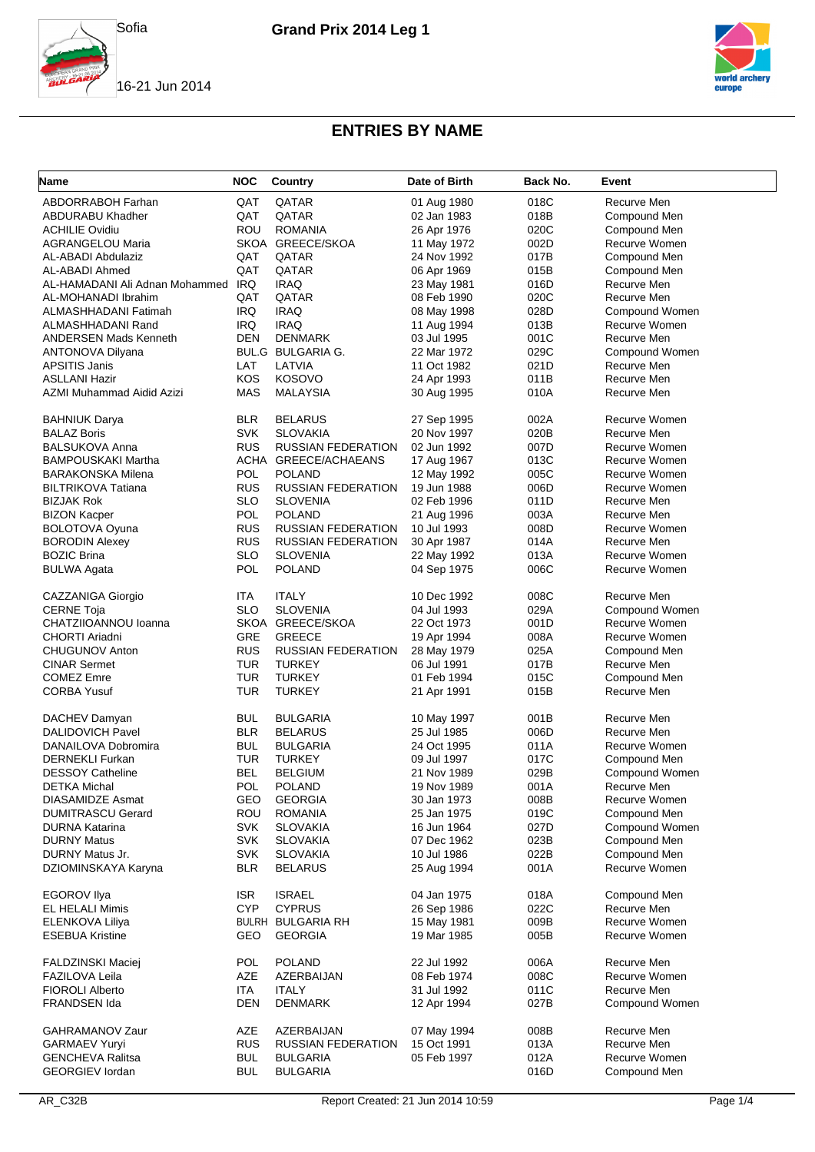



| <b>Name</b>                    | <b>NOC</b> | Country                   | Date of Birth | Back No. | Event                |
|--------------------------------|------------|---------------------------|---------------|----------|----------------------|
| ABDORRABOH Farhan              | QAT        | QATAR                     | 01 Aug 1980   | 018C     | Recurve Men          |
| ABDURABU Khadher               | QAT        | QATAR                     | 02 Jan 1983   | 018B     | Compound Men         |
| <b>ACHILIE Ovidiu</b>          | ROU        | <b>ROMANIA</b>            | 26 Apr 1976   | 020C     | Compound Men         |
| <b>AGRANGELOU Maria</b>        |            | SKOA GREECE/SKOA          | 11 May 1972   | 002D     | Recurve Women        |
| AL-ABADI Abdulaziz             | QAT        | QATAR                     | 24 Nov 1992   | 017B     | Compound Men         |
| AL-ABADI Ahmed                 | QAT        | QATAR                     | 06 Apr 1969   | 015B     | Compound Men         |
| AL-HAMADANI Ali Adnan Mohammed | IRQ        | <b>IRAQ</b>               | 23 May 1981   | 016D     | Recurve Men          |
| AL-MOHANADI Ibrahim            | QAT        | QATAR                     | 08 Feb 1990   | 020C     | Recurve Men          |
| ALMASHHADANI Fatimah           | <b>IRQ</b> | <b>IRAQ</b>               | 08 May 1998   | 028D     | Compound Women       |
| ALMASHHADANI Rand              | <b>IRQ</b> | <b>IRAQ</b>               | 11 Aug 1994   | 013B     | Recurve Women        |
| <b>ANDERSEN Mads Kenneth</b>   | <b>DEN</b> | <b>DENMARK</b>            | 03 Jul 1995   | 001C     | Recurve Men          |
| ANTONOVA Dilyana               |            | BUL.G BULGARIA G.         | 22 Mar 1972   | 029C     | Compound Women       |
| <b>APSITIS Janis</b>           | LAT        | LATVIA                    | 11 Oct 1982   | 021D     | Recurve Men          |
| <b>ASLLANI Hazir</b>           | KOS        | <b>KOSOVO</b>             | 24 Apr 1993   | 011B     | Recurve Men          |
| AZMI Muhammad Aidid Azizi      | <b>MAS</b> | <b>MALAYSIA</b>           | 30 Aug 1995   | 010A     | Recurve Men          |
|                                |            |                           |               |          |                      |
| <b>BAHNIUK Darya</b>           | <b>BLR</b> | <b>BELARUS</b>            | 27 Sep 1995   | 002A     | Recurve Women        |
| <b>BALAZ Boris</b>             | <b>SVK</b> | <b>SLOVAKIA</b>           | 20 Nov 1997   | 020B     | Recurve Men          |
| <b>BALSUKOVA Anna</b>          | <b>RUS</b> | RUSSIAN FEDERATION        | 02 Jun 1992   | 007D     | Recurve Women        |
| <b>BAMPOUSKAKI Martha</b>      |            | ACHA GREECE/ACHAEANS      | 17 Aug 1967   | 013C     | <b>Recurve Women</b> |
| <b>BARAKONSKA Milena</b>       | POL        | <b>POLAND</b>             | 12 May 1992   | 005C     | Recurve Women        |
| <b>BILTRIKOVA Tatiana</b>      | <b>RUS</b> | <b>RUSSIAN FEDERATION</b> | 19 Jun 1988   | 006D     | Recurve Women        |
| <b>BIZJAK Rok</b>              | <b>SLO</b> | <b>SLOVENIA</b>           | 02 Feb 1996   | 011D     | Recurve Men          |
| <b>BIZON Kacper</b>            | POL        | <b>POLAND</b>             | 21 Aug 1996   | 003A     | Recurve Men          |
| <b>BOLOTOVA Oyuna</b>          | <b>RUS</b> | <b>RUSSIAN FEDERATION</b> | 10 Jul 1993   | 008D     | Recurve Women        |
| <b>BORODIN Alexey</b>          | <b>RUS</b> | <b>RUSSIAN FEDERATION</b> | 30 Apr 1987   | 014A     | Recurve Men          |
| <b>BOZIC Brina</b>             | <b>SLO</b> | <b>SLOVENIA</b>           | 22 May 1992   | 013A     | Recurve Women        |
| <b>BULWA Agata</b>             | <b>POL</b> | <b>POLAND</b>             | 04 Sep 1975   | 006C     | Recurve Women        |
| CAZZANIGA Giorgio              | ITA        | <b>ITALY</b>              | 10 Dec 1992   | 008C     | Recurve Men          |
| <b>CERNE Toja</b>              | <b>SLO</b> | <b>SLOVENIA</b>           | 04 Jul 1993   | 029A     | Compound Women       |
| CHATZIIOANNOU Ioanna           |            | SKOA GREECE/SKOA          | 22 Oct 1973   | 001D     | Recurve Women        |
| <b>CHORTI Ariadni</b>          | GRE        | <b>GREECE</b>             | 19 Apr 1994   | 008A     | Recurve Women        |
| <b>CHUGUNOV Anton</b>          | <b>RUS</b> | <b>RUSSIAN FEDERATION</b> | 28 May 1979   | 025A     | Compound Men         |
| <b>CINAR Sermet</b>            | <b>TUR</b> | <b>TURKEY</b>             | 06 Jul 1991   | 017B     | Recurve Men          |
| <b>COMEZ Emre</b>              | <b>TUR</b> | <b>TURKEY</b>             | 01 Feb 1994   | 015C     | Compound Men         |
| <b>CORBA Yusuf</b>             | <b>TUR</b> | <b>TURKEY</b>             | 21 Apr 1991   | 015B     | Recurve Men          |
|                                |            |                           |               |          |                      |
| DACHEV Damyan                  | <b>BUL</b> | <b>BULGARIA</b>           | 10 May 1997   | 001B     | Recurve Men          |
| <b>DALIDOVICH Pavel</b>        | <b>BLR</b> | <b>BELARUS</b>            | 25 Jul 1985   | 006D     | Recurve Men          |
| DANAILOVA Dobromira            | <b>BUL</b> | <b>BULGARIA</b>           | 24 Oct 1995   | 011A     | Recurve Women        |
| <b>DERNEKLI Furkan</b>         | TUR        | <b>TURKEY</b>             | 09 Jul 1997   | 017C     | Compound Men         |
| <b>DESSOY Catheline</b>        | <b>BEL</b> | <b>BELGIUM</b>            | 21 Nov 1989   | 029B     | Compound Women       |
| DETKA Michal                   | POL        | <b>POLAND</b>             | 19 Nov 1989   | 001A     | Recurve Men          |
| <b>DIASAMIDZE Asmat</b>        | GEO        | <b>GEORGIA</b>            | 30 Jan 1973   | 008B     | Recurve Women        |
| <b>DUMITRASCU Gerard</b>       | ROU        | <b>ROMANIA</b>            | 25 Jan 1975   | 019C     | Compound Men         |
| <b>DURNA Katarina</b>          | <b>SVK</b> | <b>SLOVAKIA</b>           | 16 Jun 1964   | 027D     | Compound Women       |
| <b>DURNY Matus</b>             | <b>SVK</b> | <b>SLOVAKIA</b>           | 07 Dec 1962   | 023B     | Compound Men         |
| DURNY Matus Jr.                | <b>SVK</b> | <b>SLOVAKIA</b>           | 10 Jul 1986   | 022B     | Compound Men         |
| DZIOMINSKAYA Karyna            | <b>BLR</b> | <b>BELARUS</b>            | 25 Aug 1994   | 001A     | Recurve Women        |
| <b>EGOROV Ilya</b>             | <b>ISR</b> | <b>ISRAEL</b>             | 04 Jan 1975   | 018A     | Compound Men         |
| <b>EL HELALI Mimis</b>         | <b>CYP</b> | <b>CYPRUS</b>             | 26 Sep 1986   | 022C     | Recurve Men          |
| ELENKOVA Liliya                |            | <b>BULRH BULGARIA RH</b>  | 15 May 1981   | 009B     | Recurve Women        |
| <b>ESEBUA Kristine</b>         | GEO        | <b>GEORGIA</b>            | 19 Mar 1985   | 005B     | Recurve Women        |
|                                |            |                           |               |          |                      |
| <b>FALDZINSKI Maciej</b>       | <b>POL</b> | <b>POLAND</b>             | 22 Jul 1992   | 006A     | Recurve Men          |
| <b>FAZILOVA Leila</b>          | AZE        | AZERBAIJAN                | 08 Feb 1974   | 008C     | Recurve Women        |
| <b>FIOROLI Alberto</b>         | <b>ITA</b> | <b>ITALY</b>              | 31 Jul 1992   | 011C     | Recurve Men          |
| FRANDSEN Ida                   | <b>DEN</b> | <b>DENMARK</b>            | 12 Apr 1994   | 027B     | Compound Women       |
| GAHRAMANOV Zaur                | AZE        | AZERBAIJAN                | 07 May 1994   | 008B     | Recurve Men          |
| <b>GARMAEV Yuryi</b>           | <b>RUS</b> | <b>RUSSIAN FEDERATION</b> | 15 Oct 1991   | 013A     | Recurve Men          |
| <b>GENCHEVA Ralitsa</b>        | <b>BUL</b> | <b>BULGARIA</b>           | 05 Feb 1997   | 012A     | Recurve Women        |
| <b>GEORGIEV lordan</b>         | <b>BUL</b> | <b>BULGARIA</b>           |               | 016D     | Compound Men         |
|                                |            |                           |               |          |                      |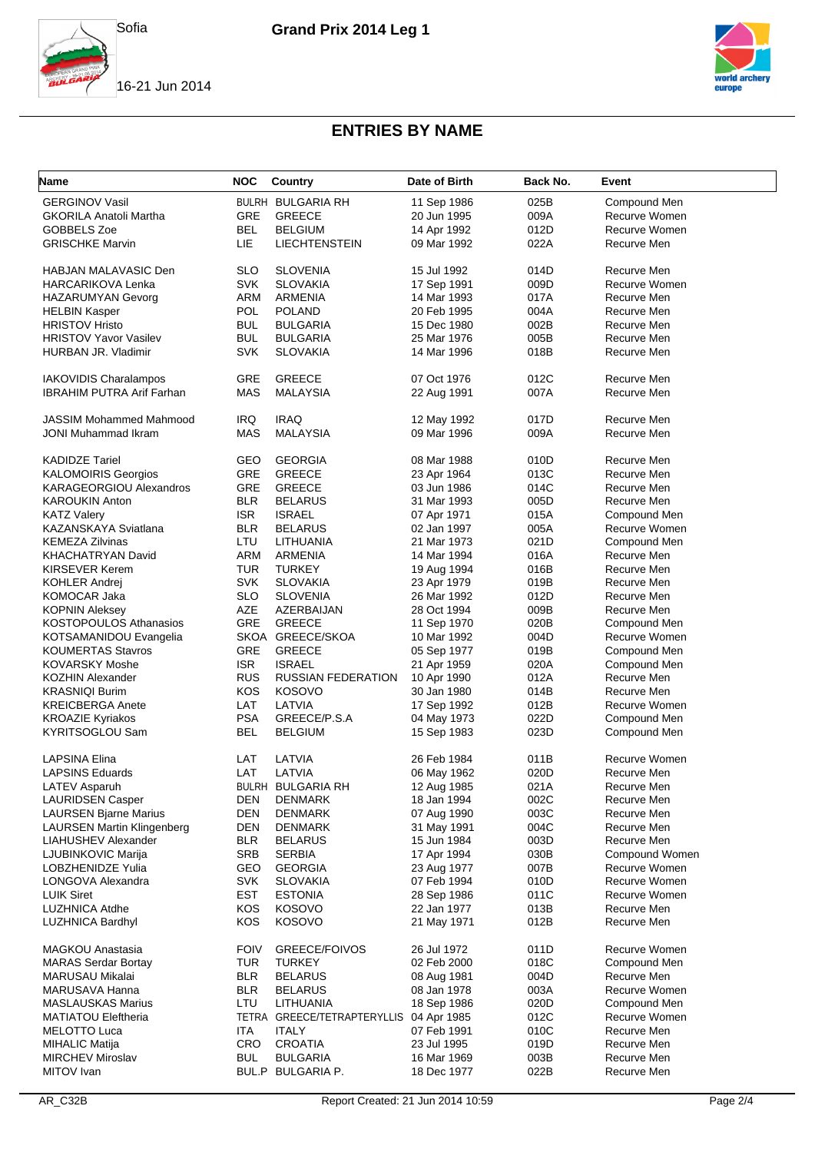





| <b>Name</b>                       | <b>NOC</b>  | Country                     | Date of Birth | Back No. | Event          |
|-----------------------------------|-------------|-----------------------------|---------------|----------|----------------|
| <b>GERGINOV Vasil</b>             |             | BULRH BULGARIA RH           | 11 Sep 1986   | 025B     | Compound Men   |
| <b>GKORILA Anatoli Martha</b>     | GRE         | <b>GREECE</b>               | 20 Jun 1995   | 009A     | Recurve Women  |
| GOBBELS Zoe                       | <b>BEL</b>  | <b>BELGIUM</b>              | 14 Apr 1992   | 012D     | Recurve Women  |
| <b>GRISCHKE Marvin</b>            | LIE         | <b>LIECHTENSTEIN</b>        | 09 Mar 1992   | 022A     | Recurve Men    |
|                                   |             |                             |               |          |                |
| HABJAN MALAVASIC Den              | <b>SLO</b>  | <b>SLOVENIA</b>             | 15 Jul 1992   | 014D     | Recurve Men    |
| <b>HARCARIKOVA Lenka</b>          | <b>SVK</b>  | <b>SLOVAKIA</b>             | 17 Sep 1991   | 009D     | Recurve Women  |
| <b>HAZARUMYAN Gevorg</b>          | <b>ARM</b>  | <b>ARMENIA</b>              | 14 Mar 1993   | 017A     | Recurve Men    |
| <b>HELBIN Kasper</b>              | <b>POL</b>  | <b>POLAND</b>               | 20 Feb 1995   | 004A     | Recurve Men    |
| <b>HRISTOV Hristo</b>             | <b>BUL</b>  | <b>BULGARIA</b>             | 15 Dec 1980   | 002B     | Recurve Men    |
| <b>HRISTOV Yavor Vasilev</b>      | <b>BUL</b>  | <b>BULGARIA</b>             | 25 Mar 1976   | 005B     | Recurve Men    |
| HURBAN JR. Vladimir               | <b>SVK</b>  | <b>SLOVAKIA</b>             | 14 Mar 1996   | 018B     | Recurve Men    |
|                                   |             |                             |               |          |                |
| IAKOVIDIS Charalampos             | GRE         | <b>GREECE</b>               | 07 Oct 1976   | 012C     | Recurve Men    |
| <b>IBRAHIM PUTRA Arif Farhan</b>  | <b>MAS</b>  | <b>MALAYSIA</b>             | 22 Aug 1991   | 007A     | Recurve Men    |
|                                   |             |                             |               |          |                |
| <b>JASSIM Mohammed Mahmood</b>    | <b>IRQ</b>  | <b>IRAQ</b>                 | 12 May 1992   | 017D     | Recurve Men    |
| <b>JONI Muhammad Ikram</b>        | <b>MAS</b>  | <b>MALAYSIA</b>             | 09 Mar 1996   | 009A     | Recurve Men    |
|                                   |             |                             |               |          |                |
| <b>KADIDZE Tariel</b>             | GEO         | <b>GEORGIA</b>              | 08 Mar 1988   | 010D     | Recurve Men    |
| <b>KALOMOIRIS Georgios</b>        | GRE         | <b>GREECE</b>               | 23 Apr 1964   | 013C     | Recurve Men    |
| <b>KARAGEORGIOU Alexandros</b>    | GRE         | <b>GREECE</b>               | 03 Jun 1986   | 014C     | Recurve Men    |
| <b>KAROUKIN Anton</b>             | <b>BLR</b>  | <b>BELARUS</b>              | 31 Mar 1993   | 005D     | Recurve Men    |
|                                   |             | <b>ISRAEL</b>               |               |          |                |
| <b>KATZ Valery</b>                | <b>ISR</b>  |                             | 07 Apr 1971   | 015A     | Compound Men   |
| KAZANSKAYA Sviatlana              | <b>BLR</b>  | <b>BELARUS</b>              | 02 Jan 1997   | 005A     | Recurve Women  |
| <b>KEMEZA Zilvinas</b>            | LTU         | LITHUANIA                   | 21 Mar 1973   | 021D     | Compound Men   |
| <b>KHACHATRYAN David</b>          | <b>ARM</b>  | <b>ARMENIA</b>              | 14 Mar 1994   | 016A     | Recurve Men    |
| KIRSEVER Kerem                    | TUR         | <b>TURKEY</b>               | 19 Aug 1994   | 016B     | Recurve Men    |
| <b>KOHLER Andrei</b>              | <b>SVK</b>  | <b>SLOVAKIA</b>             | 23 Apr 1979   | 019B     | Recurve Men    |
| KOMOCAR Jaka                      | <b>SLO</b>  | <b>SLOVENIA</b>             | 26 Mar 1992   | 012D     | Recurve Men    |
| <b>KOPNIN Aleksey</b>             | <b>AZE</b>  | AZERBAIJAN                  | 28 Oct 1994   | 009B     | Recurve Men    |
| <b>KOSTOPOULOS Athanasios</b>     | GRE         | <b>GREECE</b>               | 11 Sep 1970   | 020B     | Compound Men   |
| KOTSAMANIDOU Evangelia            |             | SKOA GREECE/SKOA            | 10 Mar 1992   | 004D     | Recurve Women  |
| <b>KOUMERTAS Stavros</b>          | GRE         | <b>GREECE</b>               | 05 Sep 1977   | 019B     | Compound Men   |
| <b>KOVARSKY Moshe</b>             | <b>ISR</b>  | <b>ISRAEL</b>               | 21 Apr 1959   | 020A     | Compound Men   |
| <b>KOZHIN Alexander</b>           | <b>RUS</b>  | <b>RUSSIAN FEDERATION</b>   | 10 Apr 1990   | 012A     | Recurve Men    |
| <b>KRASNIQI Burim</b>             | <b>KOS</b>  | <b>KOSOVO</b>               | 30 Jan 1980   | 014B     | Recurve Men    |
| <b>KREICBERGA Anete</b>           | LAT         | LATVIA                      | 17 Sep 1992   | 012B     | Recurve Women  |
| <b>KROAZIE Kyriakos</b>           | <b>PSA</b>  | GREECE/P.S.A                | 04 May 1973   | 022D     | Compound Men   |
| KYRITSOGLOU Sam                   | <b>BEL</b>  | <b>BELGIUM</b>              | 15 Sep 1983   | 023D     | Compound Men   |
|                                   |             |                             |               |          |                |
| LAPSINA Elina                     | LAT         | LATVIA                      | 26 Feb 1984   | 011B     | Recurve Women  |
| <b>LAPSINS Eduards</b>            | LAT         | LATVIA                      | 06 May 1962   | 020D     | Recurve Men    |
| LATEV Asparuh                     |             | BULRH BULGARIA RH           | 12 Aug 1985   | 021A     | Recurve Men    |
| <b>LAURIDSEN Casper</b>           | <b>DEN</b>  | <b>DENMARK</b>              | 18 Jan 1994   | 002C     | Recurve Men    |
| <b>LAURSEN Bjarne Marius</b>      | <b>DEN</b>  | <b>DENMARK</b>              | 07 Aug 1990   | 003C     | Recurve Men    |
| <b>LAURSEN Martin Klingenberg</b> | <b>DEN</b>  | <b>DENMARK</b>              | 31 May 1991   | 004C     | Recurve Men    |
| LIAHUSHEV Alexander               | <b>BLR</b>  | <b>BELARUS</b>              | 15 Jun 1984   | 003D     | Recurve Men    |
| LJUBINKOVIC Marija                | SRB         | <b>SERBIA</b>               | 17 Apr 1994   | 030B     | Compound Women |
| LOBZHENIDZE Yulia                 | GEO         | <b>GEORGIA</b>              | 23 Aug 1977   | 007B     | Recurve Women  |
| LONGOVA Alexandra                 | <b>SVK</b>  | <b>SLOVAKIA</b>             | 07 Feb 1994   | 010D     | Recurve Women  |
| <b>LUIK Siret</b>                 | <b>EST</b>  | <b>ESTONIA</b>              |               | 011C     | Recurve Women  |
| <b>LUZHNICA Atdhe</b>             |             |                             | 28 Sep 1986   |          | Recurve Men    |
|                                   | KOS         | <b>KOSOVO</b>               | 22 Jan 1977   | 013B     |                |
| <b>LUZHNICA Bardhyl</b>           | KOS         | <b>KOSOVO</b>               | 21 May 1971   | 012B     | Recurve Men    |
|                                   |             | <b>GREECE/FOIVOS</b>        |               |          |                |
| <b>MAGKOU Anastasia</b>           | <b>FOIV</b> |                             | 26 Jul 1972   | 011D     | Recurve Women  |
| <b>MARAS Serdar Bortay</b>        | <b>TUR</b>  | TURKEY                      | 02 Feb 2000   | 018C     | Compound Men   |
| MARUSAU Mikalai                   | <b>BLR</b>  | <b>BELARUS</b>              | 08 Aug 1981   | 004D     | Recurve Men    |
| MARUSAVA Hanna                    | <b>BLR</b>  | <b>BELARUS</b>              | 08 Jan 1978   | 003A     | Recurve Women  |
| <b>MASLAUSKAS Marius</b>          | LTU         | LITHUANIA                   | 18 Sep 1986   | 020D     | Compound Men   |
| <b>MATIATOU Eleftheria</b>        |             | TETRA GREECE/TETRAPTERYLLIS | 04 Apr 1985   | 012C     | Recurve Women  |
| <b>MELOTTO Luca</b>               | <b>ITA</b>  | <b>ITALY</b>                | 07 Feb 1991   | 010C     | Recurve Men    |
| <b>MIHALIC Matija</b>             | CRO         | <b>CROATIA</b>              | 23 Jul 1995   | 019D     | Recurve Men    |
| <b>MIRCHEV Miroslav</b>           | <b>BUL</b>  | <b>BULGARIA</b>             | 16 Mar 1969   | 003B     | Recurve Men    |
| MITOV Ivan                        |             | BUL.P BULGARIA P.           | 18 Dec 1977   | 022B     | Recurve Men    |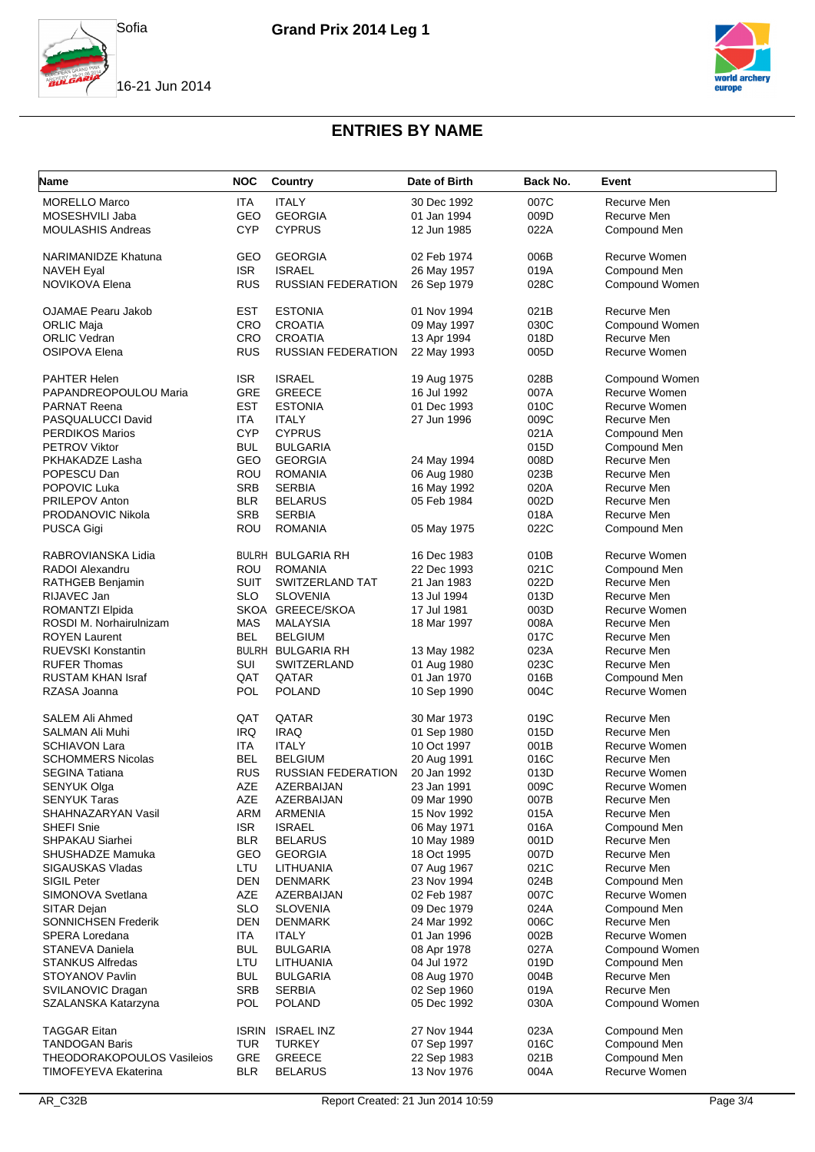



| <b>Name</b>                | <b>NOC</b>   | Country                   | Date of Birth | Back No. | Event          |
|----------------------------|--------------|---------------------------|---------------|----------|----------------|
| <b>MORELLO Marco</b>       | ITA          | <b>ITALY</b>              | 30 Dec 1992   | 007C     | Recurve Men    |
| MOSESHVILI Jaba            | <b>GEO</b>   | <b>GEORGIA</b>            | 01 Jan 1994   | 009D     | Recurve Men    |
| <b>MOULASHIS Andreas</b>   | <b>CYP</b>   | <b>CYPRUS</b>             | 12 Jun 1985   | 022A     | Compound Men   |
| <b>NARIMANIDZE Khatuna</b> | GEO          | <b>GEORGIA</b>            | 02 Feb 1974   | 006B     | Recurve Women  |
| <b>NAVEH Eyal</b>          | <b>ISR</b>   | <b>ISRAEL</b>             | 26 May 1957   | 019A     | Compound Men   |
| NOVIKOVA Elena             | <b>RUS</b>   | <b>RUSSIAN FEDERATION</b> | 26 Sep 1979   | 028C     | Compound Women |
| <b>OJAMAE Pearu Jakob</b>  | EST          | <b>ESTONIA</b>            | 01 Nov 1994   | 021B     | Recurve Men    |
| <b>ORLIC Maja</b>          | <b>CRO</b>   | <b>CROATIA</b>            | 09 May 1997   | 030C     | Compound Women |
| <b>ORLIC Vedran</b>        | <b>CRO</b>   | <b>CROATIA</b>            | 13 Apr 1994   | 018D     | Recurve Men    |
| <b>OSIPOVA Elena</b>       | <b>RUS</b>   | <b>RUSSIAN FEDERATION</b> | 22 May 1993   | 005D     | Recurve Women  |
| PAHTER Helen               | <b>ISR</b>   | <b>ISRAEL</b>             | 19 Aug 1975   | 028B     | Compound Women |
| PAPANDREOPOULOU Maria      | GRE          | <b>GREECE</b>             | 16 Jul 1992   | 007A     | Recurve Women  |
| <b>PARNAT Reena</b>        | <b>EST</b>   | <b>ESTONIA</b>            | 01 Dec 1993   | 010C     | Recurve Women  |
| PASQUALUCCI David          | <b>ITA</b>   | <b>ITALY</b>              | 27 Jun 1996   | 009C     | Recurve Men    |
| <b>PERDIKOS Marios</b>     | <b>CYP</b>   | <b>CYPRUS</b>             |               | 021A     | Compound Men   |
| <b>PETROV Viktor</b>       | <b>BUL</b>   | <b>BULGARIA</b>           |               | 015D     | Compound Men   |
| PKHAKADZE Lasha            | GEO          | <b>GEORGIA</b>            | 24 May 1994   | 008D     | Recurve Men    |
| POPESCU Dan                | ROU          | <b>ROMANIA</b>            | 06 Aug 1980   | 023B     | Recurve Men    |
| POPOVIC Luka               | <b>SRB</b>   | <b>SERBIA</b>             | 16 May 1992   | 020A     | Recurve Men    |
| PRILEPOV Anton             | <b>BLR</b>   | <b>BELARUS</b>            | 05 Feb 1984   | 002D     | Recurve Men    |
| PRODANOVIC Nikola          | <b>SRB</b>   | <b>SERBIA</b>             |               | 018A     | Recurve Men    |
| PUSCA Gigi                 | ROU          | <b>ROMANIA</b>            | 05 May 1975   | 022C     | Compound Men   |
| RABROVIANSKA Lidia         |              | <b>BULRH BULGARIA RH</b>  | 16 Dec 1983   | 010B     | Recurve Women  |
| RADOI Alexandru            | ROU          | <b>ROMANIA</b>            | 22 Dec 1993   | 021C     | Compound Men   |
| RATHGEB Benjamin           | SUIT         | SWITZERLAND TAT           | 21 Jan 1983   | 022D     | Recurve Men    |
| RIJAVEC Jan                | <b>SLO</b>   | <b>SLOVENIA</b>           | 13 Jul 1994   | 013D     | Recurve Men    |
| ROMANTZI Elpida            |              | SKOA GREECE/SKOA          | 17 Jul 1981   | 003D     | Recurve Women  |
| ROSDI M. Norhairulnizam    | <b>MAS</b>   | <b>MALAYSIA</b>           | 18 Mar 1997   | 008A     | Recurve Men    |
| <b>ROYEN Laurent</b>       | <b>BEL</b>   | <b>BELGIUM</b>            |               | 017C     | Recurve Men    |
| <b>RUEVSKI Konstantin</b>  |              | <b>BULRH BULGARIA RH</b>  | 13 May 1982   | 023A     | Recurve Men    |
| <b>RUFER Thomas</b>        | SUI          | SWITZERLAND               | 01 Aug 1980   | 023C     | Recurve Men    |
| RUSTAM KHAN Israf          | QAT          | QATAR                     | 01 Jan 1970   | 016B     | Compound Men   |
| RZASA Joanna               | <b>POL</b>   | <b>POLAND</b>             | 10 Sep 1990   | 004C     | Recurve Women  |
| <b>SALEM Ali Ahmed</b>     | QAT          | QATAR                     | 30 Mar 1973   | 019C     | Recurve Men    |
| SALMAN Ali Muhi            | <b>IRQ</b>   | <b>IRAQ</b>               | 01 Sep 1980   | 015D     | Recurve Men    |
| <b>SCHIAVON Lara</b>       | <b>ITA</b>   | <b>ITALY</b>              | 10 Oct 1997   | 001B     | Recurve Women  |
| <b>SCHOMMERS Nicolas</b>   | <b>BEL</b>   | <b>BELGIUM</b>            | 20 Aug 1991   | 016C     | Recurve Men    |
| <b>SEGINA Tatiana</b>      | <b>RUS</b>   | <b>RUSSIAN FEDERATION</b> | 20 Jan 1992   | 013D     | Recurve Women  |
| SENYUK Olga                | <b>AZE</b>   | AZERBAIJAN                | 23 Jan 1991   | 009C     | Recurve Women  |
| <b>SENYUK Taras</b>        | AZE          | AZERBAIJAN                | 09 Mar 1990   | 007B     | Recurve Men    |
| SHAHNAZARYAN Vasil         | ARM          | <b>ARMENIA</b>            | 15 Nov 1992   | 015A     | Recurve Men    |
| SHEFI Snie                 | <b>ISR</b>   | <b>ISRAEL</b>             | 06 May 1971   | 016A     | Compound Men   |
| <b>SHPAKAU Siarhei</b>     | <b>BLR</b>   | <b>BELARUS</b>            | 10 May 1989   | 001D     | Recurve Men    |
| SHUSHADZE Mamuka           | GEO          | <b>GEORGIA</b>            | 18 Oct 1995   | 007D     | Recurve Men    |
| SIGAUSKAS Vladas           | LTU          | LITHUANIA                 | 07 Aug 1967   | 021C     | Recurve Men    |
| SIGIL Peter                | <b>DEN</b>   | <b>DENMARK</b>            | 23 Nov 1994   | 024B     | Compound Men   |
| SIMONOVA Svetlana          | AZE          | AZERBAIJAN                | 02 Feb 1987   | 007C     | Recurve Women  |
| SITAR Dejan                | <b>SLO</b>   | <b>SLOVENIA</b>           | 09 Dec 1979   | 024A     | Compound Men   |
| <b>SONNICHSEN Frederik</b> | <b>DEN</b>   | <b>DENMARK</b>            | 24 Mar 1992   | 006C     | Recurve Men    |
| SPERA Loredana             | <b>ITA</b>   | <b>ITALY</b>              | 01 Jan 1996   | 002B     | Recurve Women  |
| STANEVA Daniela            | <b>BUL</b>   | <b>BULGARIA</b>           | 08 Apr 1978   | 027A     | Compound Women |
| <b>STANKUS Alfredas</b>    | LTU          | LITHUANIA                 | 04 Jul 1972   | 019D     | Compound Men   |
| STOYANOV Pavlin            | <b>BUL</b>   | <b>BULGARIA</b>           | 08 Aug 1970   | 004B     | Recurve Men    |
| SVILANOVIC Dragan          | <b>SRB</b>   | <b>SERBIA</b>             | 02 Sep 1960   | 019A     | Recurve Men    |
| SZALANSKA Katarzyna        | <b>POL</b>   | <b>POLAND</b>             | 05 Dec 1992   | 030A     | Compound Women |
| <b>TAGGAR Eitan</b>        | <b>ISRIN</b> | <b>ISRAEL INZ</b>         | 27 Nov 1944   | 023A     | Compound Men   |
| <b>TANDOGAN Baris</b>      | <b>TUR</b>   | <b>TURKEY</b>             | 07 Sep 1997   | 016C     | Compound Men   |
| THEODORAKOPOULOS Vasileios | GRE          | <b>GREECE</b>             | 22 Sep 1983   | 021B     | Compound Men   |
| TIMOFEYEVA Ekaterina       | <b>BLR</b>   | <b>BELARUS</b>            | 13 Nov 1976   | 004A     | Recurve Women  |